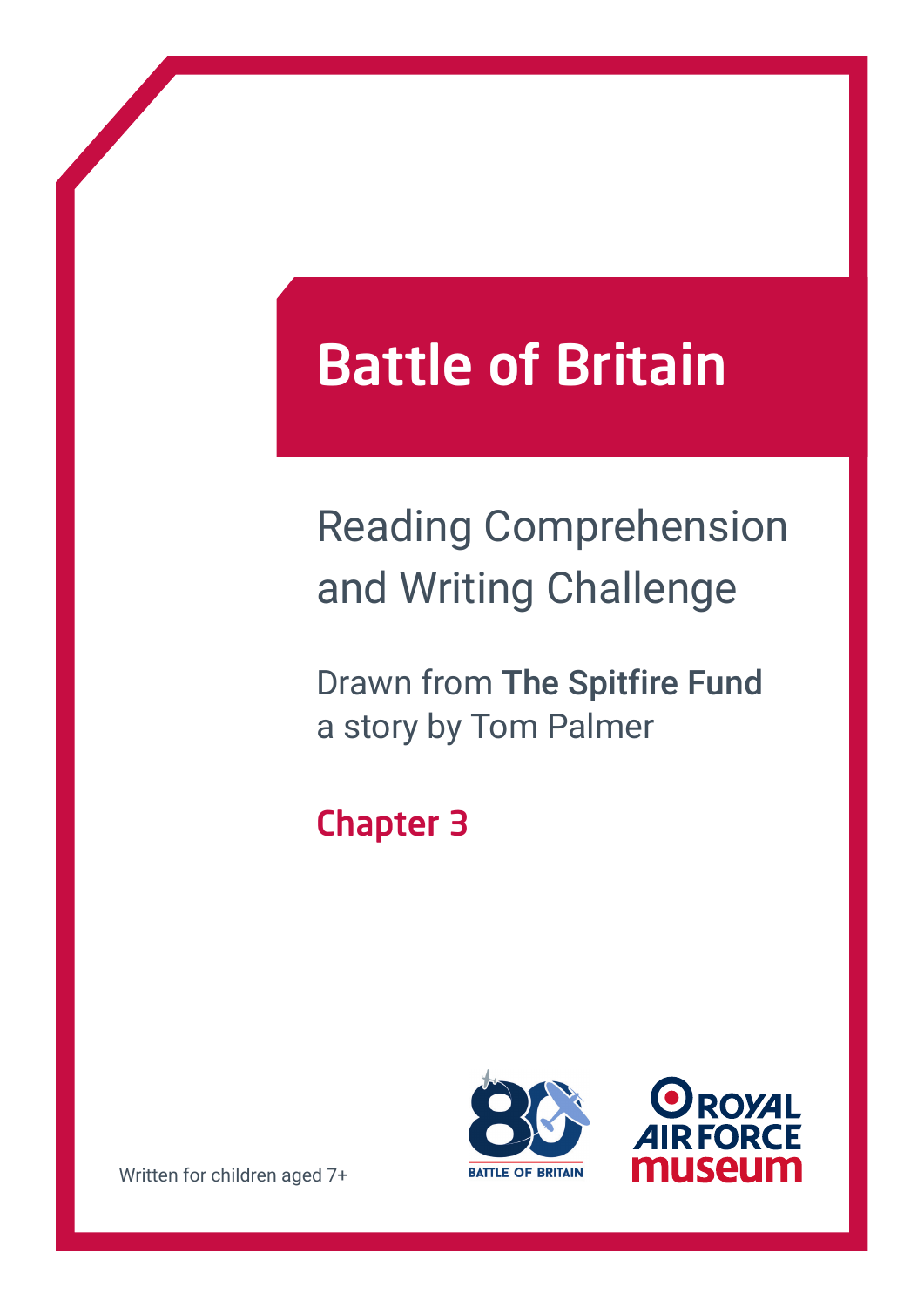# Battle of Britain

## Reading Comprehension and Writing Challenge

Drawn from The Spitfire Fund a story by Tom Palmer

### Chapter 3





Written for children aged 7+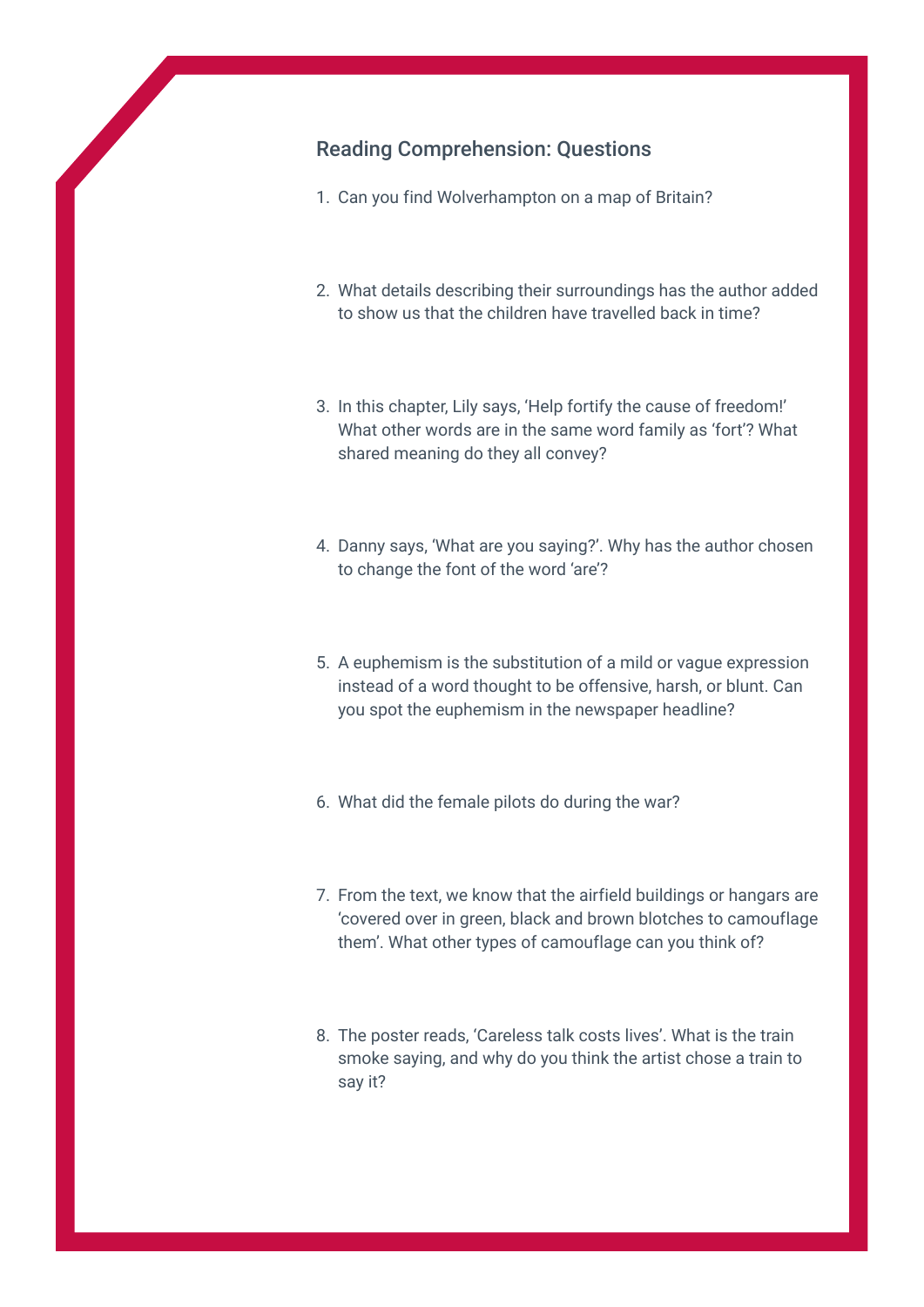#### Reading Comprehension: Questions

- 1. Can you find Wolverhampton on a map of Britain?
- 2. What details describing their surroundings has the author added to show us that the children have travelled back in time?
- 3. In this chapter, Lily says, 'Help fortify the cause of freedom!' What other words are in the same word family as 'fort'? What shared meaning do they all convey?
- 4. Danny says, 'What are you saying?'. Why has the author chosen to change the font of the word 'are'?
- 5. A euphemism is the substitution of a mild or vague expression instead of a word thought to be offensive, harsh, or blunt. Can you spot the euphemism in the newspaper headline?
- 6. What did the female pilots do during the war?
- 7. From the text, we know that the airfield buildings or hangars are 'covered over in green, black and brown blotches to camouflage them'. What other types of camouflage can you think of?
- 8. The poster reads, 'Careless talk costs lives'. What is the train smoke saying, and why do you think the artist chose a train to say it?